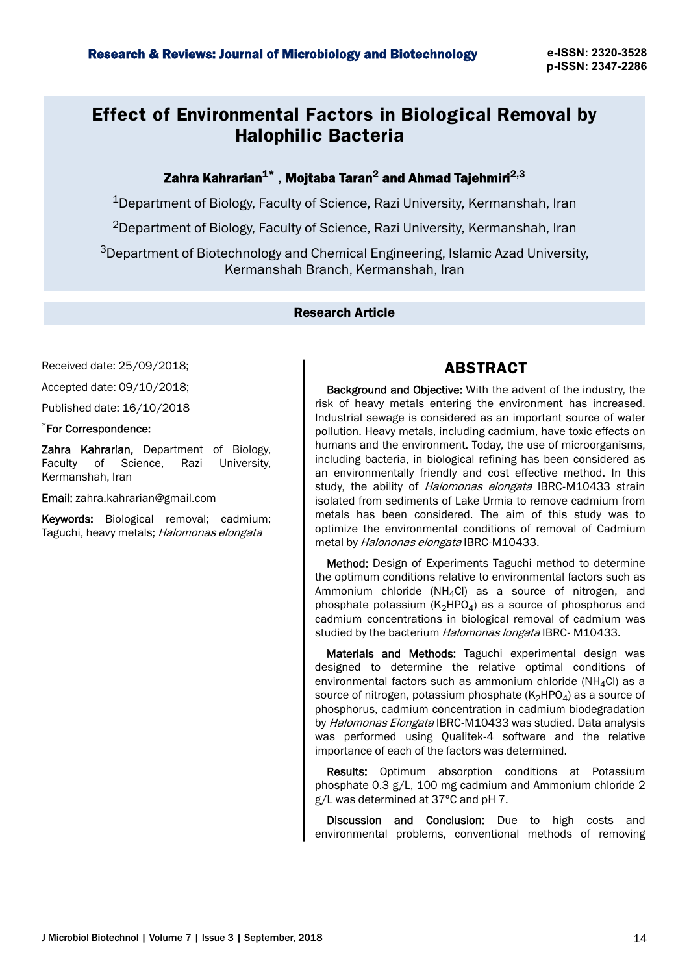# **Effect of Environmental Factors in Biological Removal by Halophilic Bacteria**

## Zahra Kahrarian $^{\mathbf{1}^{\ast}}$  , Mojtaba Taran $^{\mathbf{2}}$  and Ahmad Tajehmiri $^{2,3}$

<sup>1</sup>Department of Biology, Faculty of Science, Razi University, Kermanshah, Iran

<sup>2</sup>Department of Biology, Faculty of Science, Razi University, Kermanshah, Iran

<sup>3</sup>Department of Biotechnology and Chemical Engineering, Islamic Azad University, Kermanshah Branch, Kermanshah, Iran

### Research Article

Received date: 25/09/2018;

Accepted date: 09/10/2018;

Published date: 16/10/2018

#### \*For Correspondence:

Zahra Kahrarian, Department of Biology, Faculty of Science, Razi University, Kermanshah, Iran

Email: zahra.kahrarian@gmail.com

Keywords: Biological removal; cadmium; Taguchi, heavy metals; Halomonas elongata

## **ABSTRACT**

Background and Objective: With the advent of the industry, the risk of heavy metals entering the environment has increased. Industrial sewage is considered as an important source of water pollution. Heavy metals, including cadmium, have toxic effects on humans and the environment. Today, the use of microorganisms, including bacteria, in biological refining has been considered as an environmentally friendly and cost effective method. In this study, the ability of *Halomonas elongata* IBRC-M10433 strain isolated from sediments of Lake Urmia to remove cadmium from metals has been considered. The aim of this study was to optimize the environmental conditions of removal of Cadmium metal by Halononas elongata IBRC-M10433.

Method: Design of Experiments Taguchi method to determine the optimum conditions relative to environmental factors such as Ammonium chloride (NH<sub>4</sub>Cl) as a source of nitrogen, and phosphate potassium  $(K_2HPO_4)$  as a source of phosphorus and cadmium concentrations in biological removal of cadmium was studied by the bacterium Halomonas longata IBRC- M10433.

Materials and Methods: Taguchi experimental design was designed to determine the relative optimal conditions of environmental factors such as ammonium chloride ( $NH_4Cl$ ) as a source of nitrogen, potassium phosphate  $(K_2HPO_4)$  as a source of phosphorus, cadmium concentration in cadmium biodegradation by Halomonas Elongata IBRC-M10433 was studied. Data analysis was performed using Qualitek-4 software and the relative importance of each of the factors was determined.

Results: Optimum absorption conditions at Potassium phosphate 0.3 g/L, 100 mg cadmium and Ammonium chloride 2 g/L was determined at 37°C and pH 7.

Discussion and Conclusion: Due to high costs and environmental problems, conventional methods of removing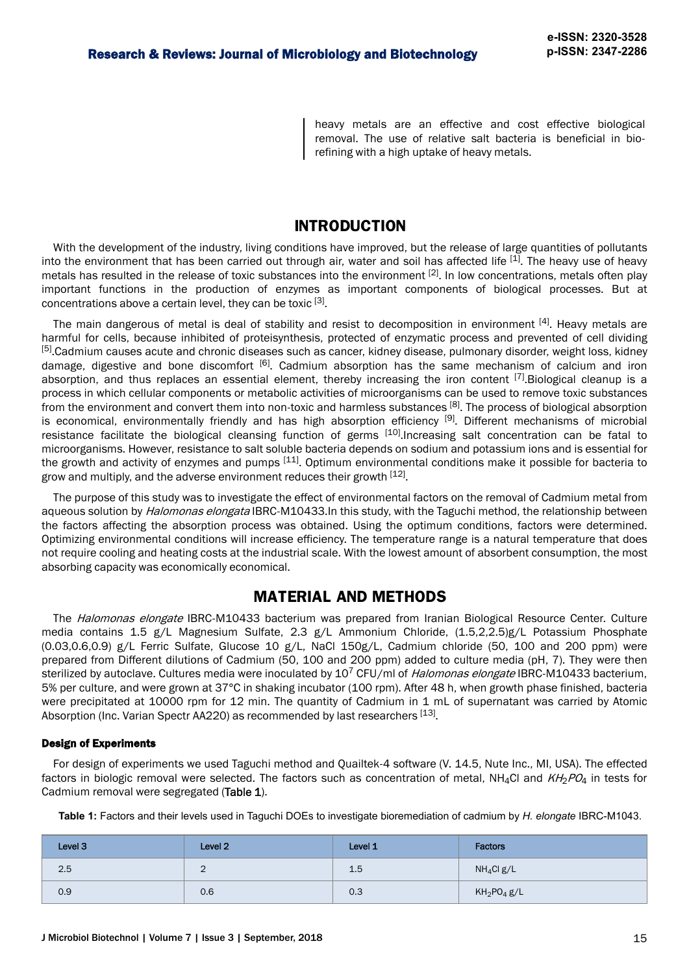heavy metals are an effective and cost effective biological removal. The use of relative salt bacteria is beneficial in biorefining with a high uptake of heavy metals.

## **INTRODUCTION**

With the development of the industry, living conditions have improved, but the release of large quantities of pollutants into the environment that has been carried out through air, water and soil has affected life [1]. The heavy use of heavy metals has resulted in the release of toxic substances into the environment  $[2]$ . In low concentrations, metals often play important functions in the production of enzymes as important components of biological processes. But at concentrations above a certain level, they can be toxic [3].

The main dangerous of metal is deal of stability and resist to decomposition in environment [4]. Heavy metals are harmful for cells, because inhibited of proteisynthesis, protected of enzymatic process and prevented of cell dividing [5].Cadmium causes acute and chronic diseases such as cancer, kidney disease, pulmonary disorder, weight loss, kidney damage, digestive and bone discomfort <sup>[6]</sup>. Cadmium absorption has the same mechanism of calcium and iron absorption, and thus replaces an essential element, thereby increasing the iron content  $^{[7]}$ . Biological cleanup is a process in which cellular components or metabolic activities of microorganisms can be used to remove toxic substances from the environment and convert them into non-toxic and harmless substances [8]. The process of biological absorption is economical, environmentally friendly and has high absorption efficiency [9]. Different mechanisms of microbial resistance facilitate the biological cleansing function of germs  $[10]$ .Increasing salt concentration can be fatal to microorganisms. However, resistance to salt soluble bacteria depends on sodium and potassium ions and is essential for the growth and activity of enzymes and pumps [11]. Optimum environmental conditions make it possible for bacteria to grow and multiply, and the adverse environment reduces their growth [12].

The purpose of this study was to investigate the effect of environmental factors on the removal of Cadmium metal from aqueous solution by *Halomonas elongata* IBRC-M10433.In this study, with the Taguchi method, the relationship between the factors affecting the absorption process was obtained. Using the optimum conditions, factors were determined. Optimizing environmental conditions will increase efficiency. The temperature range is a natural temperature that does not require cooling and heating costs at the industrial scale. With the lowest amount of absorbent consumption, the most absorbing capacity was economically economical.

### **MATERIAL AND METHODS**

The *Halomonas elongate* IBRC-M10433 bacterium was prepared from Iranian Biological Resource Center. Culture media contains 1.5 g/L Magnesium Sulfate, 2.3 g/L Ammonium Chloride, (1.5,2,2.5)g/L Potassium Phosphate (0.03,0.6,0.9) g/L Ferric Sulfate, Glucose 10 g/L, NaCl 150g/L, Cadmium chloride (50, 100 and 200 ppm) were prepared from Different dilutions of Cadmium (50, 100 and 200 ppm) added to culture media (pH, 7). They were then sterilized by autoclave. Cultures media were inoculated by 10<sup>7</sup> CFU/ml of Halomonas elongate IBRC-M10433 bacterium, 5% per culture, and were grown at 37°C in shaking incubator (100 rpm). After 48 h, when growth phase finished, bacteria were precipitated at 10000 rpm for 12 min. The quantity of Cadmium in 1 mL of supernatant was carried by Atomic Absorption (Inc. Varian Spectr AA220) as recommended by last researchers [13].

#### Design of Experiments

For design of experiments we used Taguchi method and Quailtek-4 software (V. 14.5, Nute Inc., MI, USA). The effected factors in biologic removal were selected. The factors such as concentration of metal, NH<sub>4</sub>Cl and  $KH_2PO_4$  in tests for Cadmium removal were segregated (Table 1).

**Table 1:** Factors and their levels used in Taguchi DOEs to investigate bioremediation of cadmium by *H. elongate* IBRC-M1043.

| Level 3 | Level 2 | Level 1 | <b>Factors</b> |
|---------|---------|---------|----------------|
| 2.5     |         | 1.5     | $NH_4Cl$ g/L   |
| 0.9     | 0.6     | 0.3     | $KH_2PO_4g/L$  |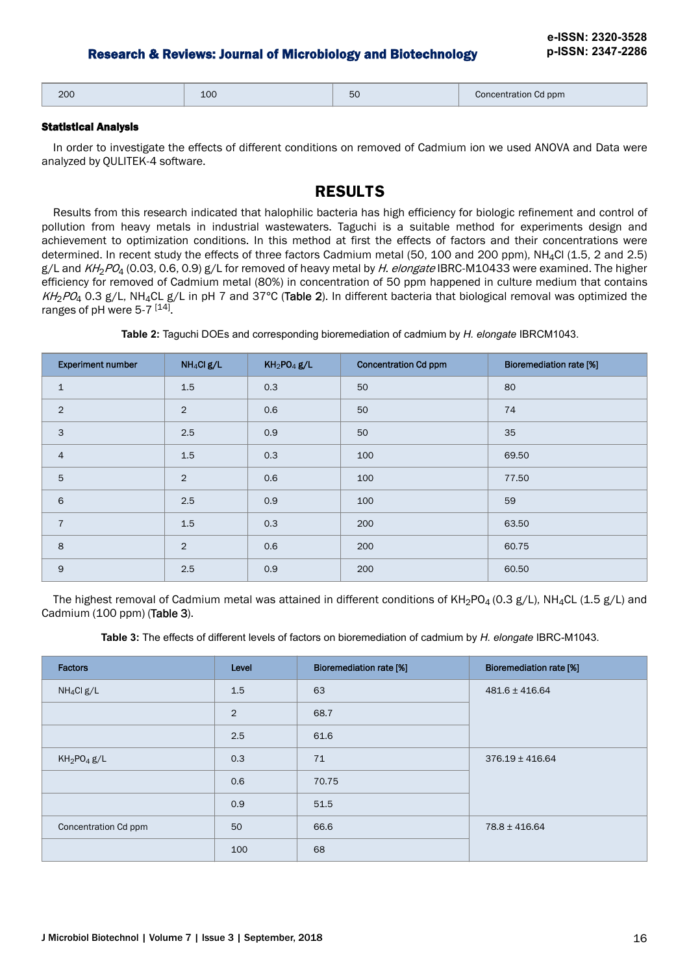| 200 | 100 | ъú | Concentration Cd ppm |
|-----|-----|----|----------------------|
|-----|-----|----|----------------------|

#### Statistical Analysis

In order to investigate the effects of different conditions on removed of Cadmium ion we used ANOVA and Data were analyzed by QULITEK-4 software.

## **RESULTS**

Results from this research indicated that halophilic bacteria has high efficiency for biologic refinement and control of pollution from heavy metals in industrial wastewaters. Taguchi is a suitable method for experiments design and achievement to optimization conditions. In this method at first the effects of factors and their concentrations were determined. In recent study the effects of three factors Cadmium metal (50, 100 and 200 ppm), NH<sub>4</sub>Cl (1.5, 2 and 2.5)  $g/L$  and  $KH<sub>2</sub>PO<sub>4</sub>$  (0.03, 0.6, 0.9)  $g/L$  for removed of heavy metal by H. elongate IBRC-M10433 were examined. The higher efficiency for removed of Cadmium metal (80%) in concentration of 50 ppm happened in culture medium that contains  $KH_2PQ_4$  0.3 g/L, NH<sub>4</sub>CL g/L in pH 7 and 37°C (Table 2). In different bacteria that biological removal was optimized the ranges of pH were 5-7<sup>[14]</sup>.

| Table 2: Taguchi DOEs and corresponding bioremediation of cadmium by H. elongate IBRCM1043. |  |  |
|---------------------------------------------------------------------------------------------|--|--|
|                                                                                             |  |  |

| <b>Experiment number</b> | $NH_4Clg/L$    | $KH_2PO_4g/L$ | <b>Concentration Cd ppm</b> | <b>Bioremediation rate [%]</b> |
|--------------------------|----------------|---------------|-----------------------------|--------------------------------|
| $\mathbf 1$              | 1.5            | 0.3           | 50                          | 80                             |
| $\overline{2}$           | 2              | 0.6           | 50                          | 74                             |
| 3                        | 2.5            | 0.9           | 50                          | 35                             |
| $\overline{4}$           | 1.5            | 0.3           | 100                         | 69.50                          |
| 5                        | 2              | 0.6           | 100                         | 77.50                          |
| 6                        | 2.5            | 0.9           | 100                         | 59                             |
| $\overline{7}$           | 1.5            | 0.3           | 200                         | 63.50                          |
| 8                        | $\overline{2}$ | 0.6           | 200                         | 60.75                          |
| $9$                      | 2.5            | 0.9           | 200                         | 60.50                          |

The highest removal of Cadmium metal was attained in different conditions of  $KH_2PO_4$  (0.3 g/L), NH<sub>4</sub>CL (1.5 g/L) and Cadmium (100 ppm) (Table 3).

| Table 3: The effects of different levels of factors on bioremediation of cadmium by H. elongate IBRC-M1043. |  |
|-------------------------------------------------------------------------------------------------------------|--|
|-------------------------------------------------------------------------------------------------------------|--|

| <b>Factors</b>         | Level          | <b>Bioremediation rate [%]</b> | <b>Bioremediation rate [%]</b> |
|------------------------|----------------|--------------------------------|--------------------------------|
| NH <sub>4</sub> Cl g/L | 1.5            | 63                             | $481.6 \pm 416.64$             |
|                        | $\overline{2}$ | 68.7                           |                                |
|                        | 2.5            | 61.6                           |                                |
| $KH_2PO_4g/L$          | 0.3            | 71                             | $376.19 \pm 416.64$            |
|                        | 0.6            | 70.75                          |                                |
|                        | 0.9            | 51.5                           |                                |
| Concentration Cd ppm   | 50             | 66.6                           | $78.8 \pm 416.64$              |
|                        | 100            | 68                             |                                |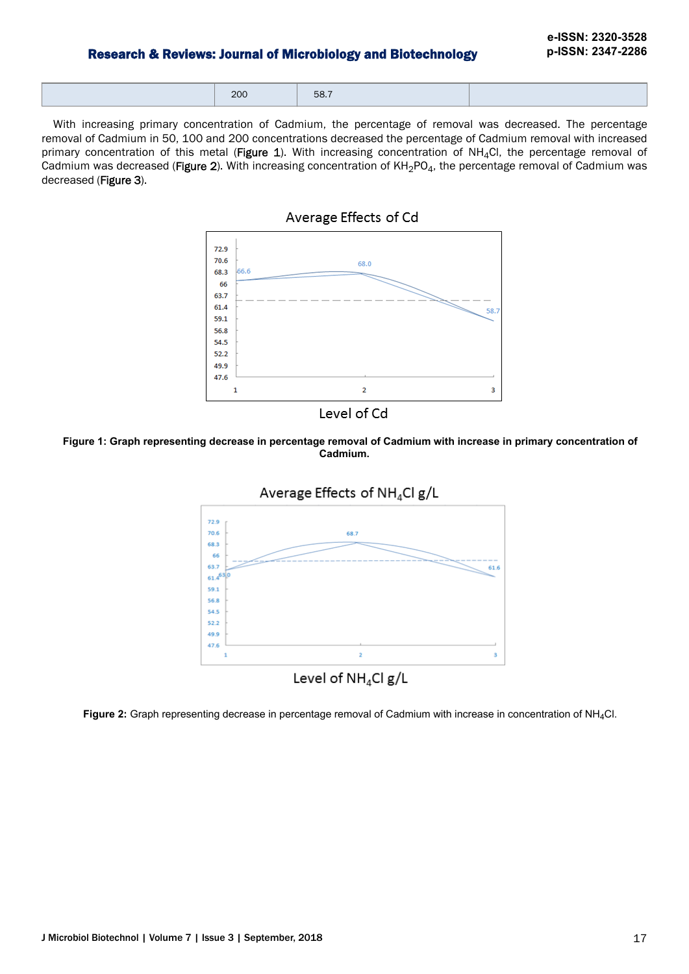| $\sim$ $\sim$<br>$\cdots$<br>___ | 58.<br>---- |  |
|----------------------------------|-------------|--|

With increasing primary concentration of Cadmium, the percentage of removal was decreased. The percentage removal of Cadmium in 50, 100 and 200 concentrations decreased the percentage of Cadmium removal with increased primary concentration of this metal (Figure 1). With increasing concentration of NH<sub>4</sub>Cl, the percentage removal of Cadmium was decreased (Figure 2). With increasing concentration of  $KH_2PO_4$ , the percentage removal of Cadmium was decreased (Figure 3).







**Figure 1: Graph representing decrease in percentage removal of Cadmium with increase in primary concentration of Cadmium.**



**Figure 2:** Graph representing decrease in percentage removal of Cadmium with increase in concentration of NH4Cl.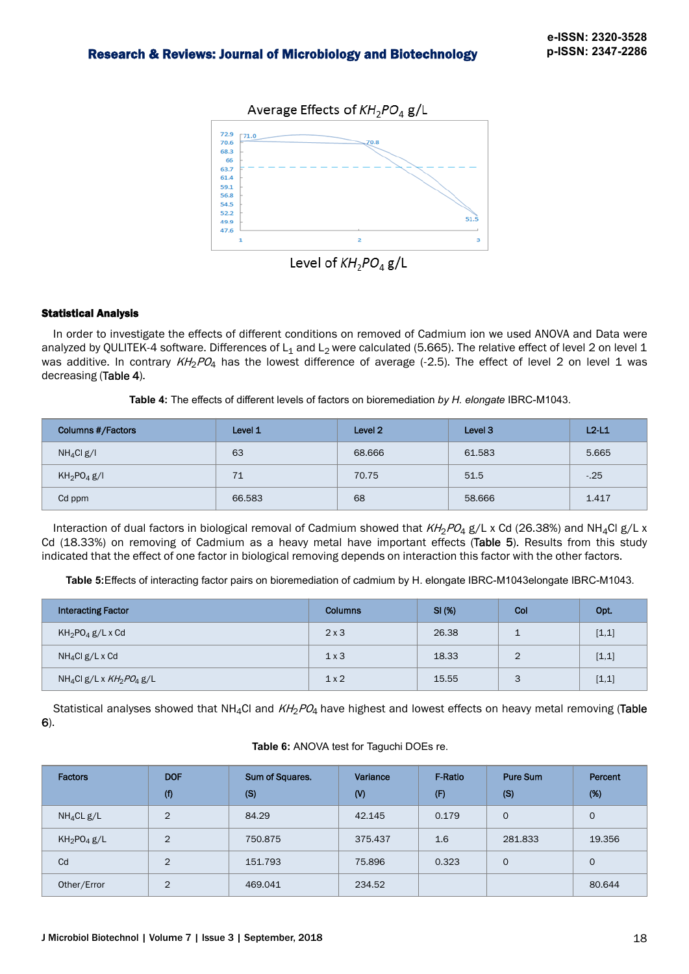

#### Statistical Analysis

In order to investigate the effects of different conditions on removed of Cadmium ion we used ANOVA and Data were analyzed by QULITEK-4 software. Differences of L<sub>1</sub> and L<sub>2</sub> were calculated (5.665). The relative effect of level 2 on level 1 was additive. In contrary  $KH_2PO_4$  has the lowest difference of average (-2.5). The effect of level 2 on level 1 was decreasing (Table 4).

**Table 4:** The effects of different levels of factors on bioremediation *by H. elongate* IBRC-M1043.

| <b>Columns #/Factors</b>            | Level 1 | Level 2 | Level 3 | $L2-L1$ |
|-------------------------------------|---------|---------|---------|---------|
| NH <sub>4</sub> Cl g/I              | 63      | 68.666  | 61.583  | 5.665   |
| KH <sub>2</sub> PO <sub>4</sub> g/I | 71      | 70.75   | 51.5    | $-0.25$ |
| Cd ppm                              | 66.583  | 68      | 58.666  | 1.417   |

Interaction of dual factors in biological removal of Cadmium showed that  $KH_2PO_4$  g/L x Cd (26.38%) and NH<sub>4</sub>Cl g/L x Cd (18.33%) on removing of Cadmium as a heavy metal have important effects (Table 5). Results from this study indicated that the effect of one factor in biological removing depends on interaction this factor with the other factors.

**Table 5:**Effects of interacting factor pairs on bioremediation of cadmium by H. elongate IBRC-M1043elongate IBRC-M1043.

| <b>Interacting Factor</b>                   | <b>Columns</b> | SI(%) | Col            | Opt.  |
|---------------------------------------------|----------------|-------|----------------|-------|
| $KH_2PO_4g/LxCd$                            | 2x3            | 26.38 | ÷              | [1,1] |
| $NH_4Cl$ g/L x Cd                           | 1x3            | 18.33 | $\overline{2}$ | [1,1] |
| NH <sub>4</sub> Cl g/L x $KH_{2}PO_{4}$ g/L | 1x2            | 15.55 | 3              | [1,1] |

Statistical analyses showed that NH<sub>4</sub>Cl and  $KH_2PQ_4$  have highest and lowest effects on heavy metal removing (Table 6).

#### **Table 6:** ANOVA test for Taguchi DOEs re.

| <b>Factors</b>                      | <b>DOF</b><br>(f) | Sum of Squares.<br>(S) | Variance<br>$\mathsf{W}$ | <b>F-Ratio</b><br>(F) | <b>Pure Sum</b><br>(S) | Percent<br>(%) |
|-------------------------------------|-------------------|------------------------|--------------------------|-----------------------|------------------------|----------------|
| $NH_4CL$ g/L                        | $\overline{2}$    | 84.29                  | 42.145                   | 0.179                 | $\Omega$               | $\mathbf{0}$   |
| KH <sub>2</sub> PO <sub>4</sub> g/L | 2                 | 750,875                | 375.437                  | 1.6                   | 281,833                | 19.356         |
| Cd                                  | $\overline{2}$    | 151.793                | 75,896                   | 0.323                 | $\Omega$               | $\mathbf{0}$   |
| Other/Error                         | $\overline{2}$    | 469.041                | 234.52                   |                       |                        | 80.644         |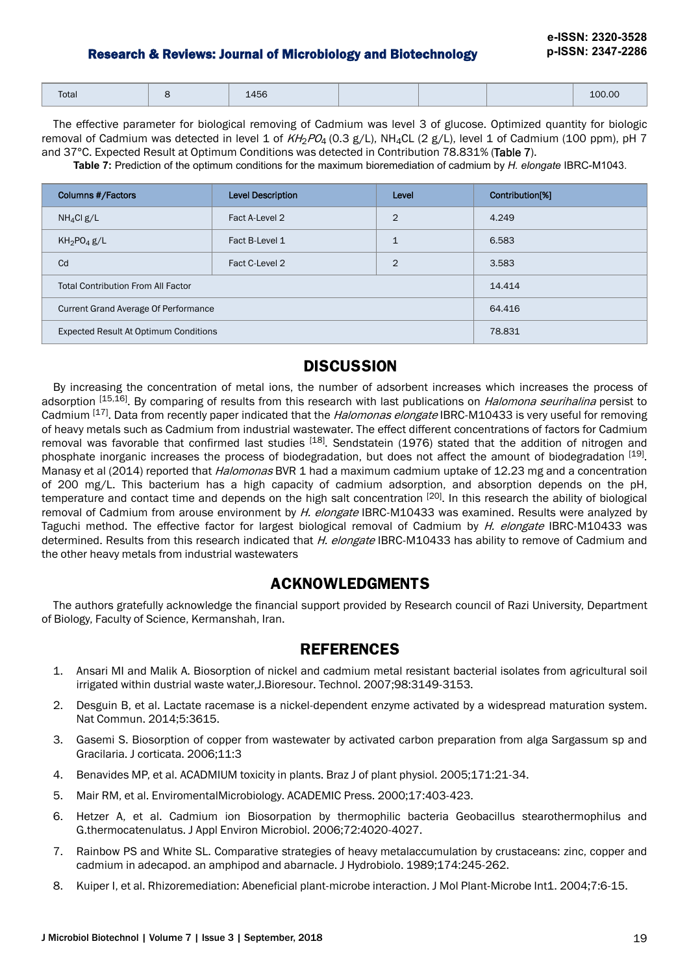| Total | 1456 |  | 100.00 |
|-------|------|--|--------|

The effective parameter for biological removing of Cadmium was level 3 of glucose. Optimized quantity for biologic removal of Cadmium was detected in level 1 of  $KH_2PO_4$  (0.3 g/L), NH<sub>4</sub>CL (2 g/L), level 1 of Cadmium (100 ppm), pH 7 and 37°C. Expected Result at Optimum Conditions was detected in Contribution 78.831% (Table 7).

**Table 7:** Prediction of the optimum conditions for the maximum bioremediation of cadmium by *H. elongate* IBRC-M1043.

| Columns #/Factors                           | <b>Level Description</b> | Level          | Contribution[%] |
|---------------------------------------------|--------------------------|----------------|-----------------|
| $NH_4Cl$ g/L                                | Fact A-Level 2           | $\overline{2}$ | 4.249           |
| KH <sub>2</sub> PO <sub>4</sub> g/L         | Fact B-Level 1           | $\mathbf{1}$   | 6.583           |
| Cd                                          | Fact C-Level 2           | $\mathcal{P}$  | 3.583           |
| <b>Total Contribution From All Factor</b>   | 14.414                   |                |                 |
| <b>Current Grand Average Of Performance</b> | 64.416                   |                |                 |
| Expected Result At Optimum Conditions       |                          |                | 78.831          |

## **DISCUSSION**

By increasing the concentration of metal ions, the number of adsorbent increases which increases the process of adsorption <sup>[15,16]</sup>. By comparing of results from this research with last publications on *Halomona seurihalina* persist to Cadmium [17]. Data from recently paper indicated that the *Halomonas elongate* IBRC-M10433 is very useful for removing of heavy metals such as Cadmium from industrial wastewater. The effect different concentrations of factors for Cadmium removal was favorable that confirmed last studies <sup>[18]</sup>. Sendstatein (1976) stated that the addition of nitrogen and phosphate inorganic increases the process of biodegradation, but does not affect the amount of biodegradation [19]. Manasy et al (2014) reported that *Halomonas* BVR 1 had a maximum cadmium uptake of 12.23 mg and a concentration of 200 mg/L. This bacterium has a high capacity of cadmium adsorption, and absorption depends on the pH, temperature and contact time and depends on the high salt concentration <sup>[20]</sup>. In this research the ability of biological removal of Cadmium from arouse environment by H. elongate IBRC-M10433 was examined. Results were analyzed by Taguchi method. The effective factor for largest biological removal of Cadmium by *H. elongate* IBRC-M10433 was determined. Results from this research indicated that H. elongate IBRC-M10433 has ability to remove of Cadmium and the other heavy metals from industrial wastewaters

## **ACKNOWLEDGMENTS**

The authors gratefully acknowledge the financial support provided by Research council of Razi University, Department of Biology, Faculty of Science, Kermanshah, Iran.

## **REFERENCES**

- 1. Ansari MI and Malik A. Biosorption of nickel and cadmium metal resistant bacterial isolates from agricultural soil irrigated within dustrial waste water,J.Bioresour. Technol. 2007;98:3149-3153.
- 2. Desguin B, et al. Lactate racemase is a nickel-dependent enzyme activated by a widespread maturation system. Nat Commun. 2014;5:3615.
- 3. Gasemi S. Biosorption of copper from wastewater by activated carbon preparation from alga Sargassum sp and Gracilaria. J corticata. 2006;11:3
- 4. Benavides MP, et al. ACADMIUM toxicity in plants. Braz J of plant physiol. 2005;171:21-34.
- 5. Mair RM, et al. EnviromentalMicrobiology. ACADEMIC Press. 2000;17:403-423.
- 6. Hetzer A, et al. Cadmium ion Biosorpation by thermophilic bacteria Geobacillus stearothermophilus and G.thermocatenulatus. J Appl Environ Microbiol. 2006;72:4020-4027.
- 7. Rainbow PS and White SL. Comparative strategies of heavy metalaccumulation by crustaceans: zinc, copper and cadmium in adecapod. an amphipod and abarnacle. J Hydrobiolo. 1989;174:245-262.
- 8. Kuiper I, et al. Rhizoremediation: Abeneficial plant-microbe interaction. J Mol Plant-Microbe Int1. 2004;7:6-15.